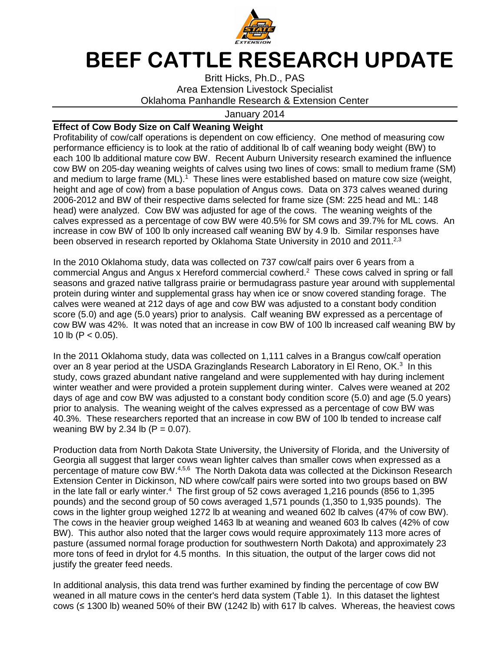

## **BEEF CATTLE RESEARCH UPDATE**

Britt Hicks, Ph.D., PAS Area Extension Livestock Specialist Oklahoma Panhandle Research & Extension Center

## January 2014

## **Effect of Cow Body Size on Calf Weaning Weight**

Profitability of cow/calf operations is dependent on cow efficiency. One method of measuring cow performance efficiency is to look at the ratio of additional lb of calf weaning body weight (BW) to each 100 lb additional mature cow BW. Recent Auburn University research examined the influence cow BW on 205-day weaning weights of calves using two lines of cows: small to medium frame (SM) and medium to large frame (ML).<sup>1</sup> These lines were established based on mature cow size (weight, height and age of cow) from a base population of Angus cows. Data on 373 calves weaned during 2006-2012 and BW of their respective dams selected for frame size (SM: 225 head and ML: 148 head) were analyzed. Cow BW was adjusted for age of the cows. The weaning weights of the calves expressed as a percentage of cow BW were 40.5% for SM cows and 39.7% for ML cows. An increase in cow BW of 100 lb only increased calf weaning BW by 4.9 lb. Similar responses have been observed in research reported by Oklahoma State University in 2010 and 2011.<sup>2,3</sup>

In the 2010 Oklahoma study, data was collected on 737 cow/calf pairs over 6 years from a commercial Angus and Angus x Hereford commercial cowherd.<sup>2</sup> These cows calved in spring or fall seasons and grazed native tallgrass prairie or bermudagrass pasture year around with supplemental protein during winter and supplemental grass hay when ice or snow covered standing forage. The calves were weaned at 212 days of age and cow BW was adjusted to a constant body condition score (5.0) and age (5.0 years) prior to analysis. Calf weaning BW expressed as a percentage of cow BW was 42%. It was noted that an increase in cow BW of 100 lb increased calf weaning BW by 10 lb (P  $<$  0.05).

In the 2011 Oklahoma study, data was collected on 1,111 calves in a Brangus cow/calf operation over an 8 year period at the USDA Grazinglands Research Laboratory in El Reno, OK.<sup>3</sup> In this study, cows grazed abundant native rangeland and were supplemented with hay during inclement winter weather and were provided a protein supplement during winter. Calves were weaned at 202 days of age and cow BW was adjusted to a constant body condition score (5.0) and age (5.0 years) prior to analysis. The weaning weight of the calves expressed as a percentage of cow BW was 40.3%. These researchers reported that an increase in cow BW of 100 lb tended to increase calf weaning BW by 2.34 lb  $(P = 0.07)$ .

Production data from North Dakota State University, the University of Florida, and the University of Georgia all suggest that larger cows wean lighter calves than smaller cows when expressed as a percentage of mature cow BW.<sup>4,5,6</sup> The North Dakota data was collected at the Dickinson Research Extension Center in Dickinson, ND where cow/calf pairs were sorted into two groups based on BW in the late fall or early winter.<sup>4</sup> The first group of 52 cows averaged 1,216 pounds (856 to 1,395 pounds) and the second group of 50 cows averaged 1,571 pounds (1,350 to 1,935 pounds). The cows in the lighter group weighed 1272 lb at weaning and weaned 602 lb calves (47% of cow BW). The cows in the heavier group weighed 1463 lb at weaning and weaned 603 lb calves (42% of cow BW). This author also noted that the larger cows would require approximately 113 more acres of pasture (assumed normal forage production for southwestern North Dakota) and approximately 23 more tons of feed in drylot for 4.5 months. In this situation, the output of the larger cows did not justify the greater feed needs.

In additional analysis, this data trend was further examined by finding the percentage of cow BW weaned in all mature cows in the center's herd data system (Table 1). In this dataset the lightest cows (≤ 1300 lb) weaned 50% of their BW (1242 lb) with 617 lb calves. Whereas, the heaviest cows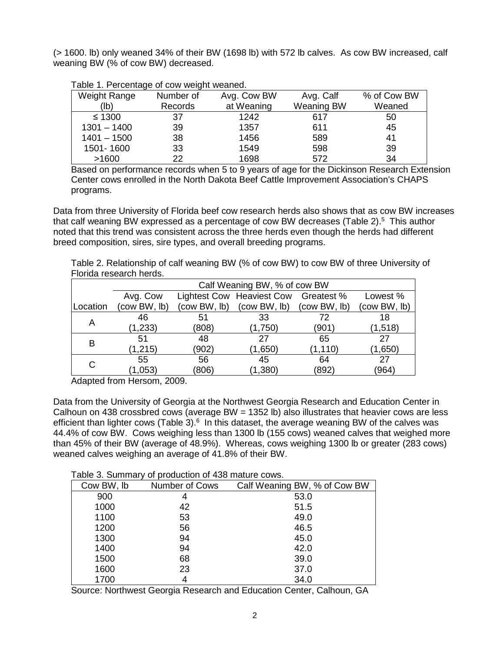(> 1600. lb) only weaned 34% of their BW (1698 lb) with 572 lb calves. As cow BW increased, calf weaning BW (% of cow BW) decreased.

| rapio il i oroomago or commongin modifical |           |             |                   |             |  |
|--------------------------------------------|-----------|-------------|-------------------|-------------|--|
| Weight Range                               | Number of | Avg. Cow BW | Avg. Calf         | % of Cow BW |  |
| (lb)                                       | Records   | at Weaning  | <b>Weaning BW</b> | Weaned      |  |
| $\leq 1300$                                | 37        | 1242        | 617               | 50          |  |
| $1301 - 1400$                              | 39        | 1357        | 611               | 45          |  |
| $1401 - 1500$                              | 38        | 1456        | 589               | 41          |  |
| 1501-1600                                  | 33        | 1549        | 598               | 39          |  |
| >1600                                      | 22        | 1698        | 572               | 34          |  |

## Table 1. Percentage of cow weight weaned.

Based on performance records when 5 to 9 years of age for the Dickinson Research Extension Center cows enrolled in the North Dakota Beef Cattle Improvement Association's CHAPS programs.

Data from three University of Florida beef cow research herds also shows that as cow BW increases that calf weaning BW expressed as a percentage of cow BW decreases (Table 2). $5$  This author noted that this trend was consistent across the three herds even though the herds had different breed composition, sires, sire types, and overall breeding programs.

Table 2. Relationship of calf weaning BW (% of cow BW) to cow BW of three University of Florida research herds.

|          | Calf Weaning BW, % of cow BW |              |                                      |              |              |  |
|----------|------------------------------|--------------|--------------------------------------|--------------|--------------|--|
|          | Avg. Cow                     |              | Lightest Cow Heaviest Cow Greatest % |              | Lowest %     |  |
| Location | (cow BW, lb)                 | (cow BW, lb) | (cow BW, lb)                         | (cow BW, lb) | (cow BW, lb) |  |
| Α        | 46                           | 51           | 33                                   | 72           | 18           |  |
|          | (1,233)                      | (808)        | (1,750)                              | (901)        | (1,518)      |  |
| в        | 51                           | 48           | 27                                   | 65           | 27           |  |
|          | (1, 215)                     | (902)        | (1,650)                              | (1, 110)     | (1,650)      |  |
| C        | 55                           | 56           | 45                                   | 64           | 27           |  |
|          | 1,053                        | (806)        | (1, 380)                             | (892)        | (964)        |  |

Adapted from Hersom, 2009.

Data from the University of Georgia at the Northwest Georgia Research and Education Center in Calhoun on 438 crossbred cows (average BW = 1352 lb) also illustrates that heavier cows are less efficient than lighter cows (Table 3). $6$  In this dataset, the average weaning BW of the calves was 44.4% of cow BW. Cows weighing less than 1300 lb (155 cows) weaned calves that weighed more than 45% of their BW (average of 48.9%). Whereas, cows weighing 1300 lb or greater (283 cows) weaned calves weighing an average of 41.8% of their BW.

Table 3. Summary of production of 438 mature cows.

| Cow BW, lb | Number of Cows | Calf Weaning BW, % of Cow BW |  |  |  |  |
|------------|----------------|------------------------------|--|--|--|--|
| 900        | 4              | 53.0                         |  |  |  |  |
| 1000       | 42             | 51.5                         |  |  |  |  |
| 1100       | 53             | 49.0                         |  |  |  |  |
| 1200       | 56             | 46.5                         |  |  |  |  |
| 1300       | 94             | 45.0                         |  |  |  |  |
| 1400       | 94             | 42.0                         |  |  |  |  |
| 1500       | 68             | 39.0                         |  |  |  |  |
| 1600       | 23             | 37.0                         |  |  |  |  |
| 1700       | 4              | 34.0                         |  |  |  |  |

Source: Northwest Georgia Research and Education Center, Calhoun, GA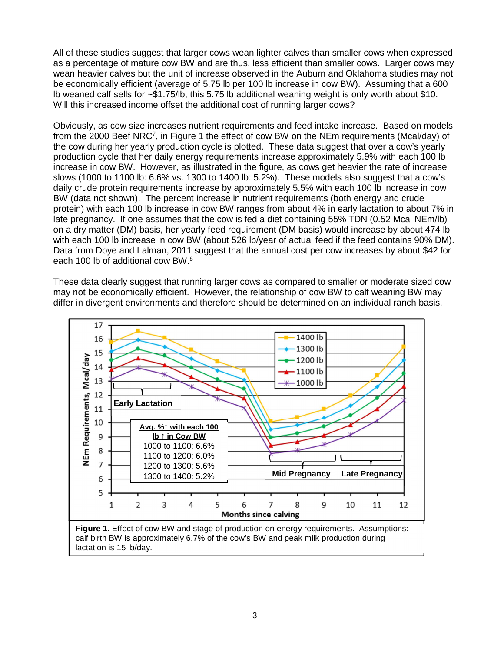All of these studies suggest that larger cows wean lighter calves than smaller cows when expressed as a percentage of mature cow BW and are thus, less efficient than smaller cows. Larger cows may wean heavier calves but the unit of increase observed in the Auburn and Oklahoma studies may not be economically efficient (average of 5.75 lb per 100 lb increase in cow BW). Assuming that a 600 lb weaned calf sells for ~\$1.75/lb, this 5.75 lb additional weaning weight is only worth about \$10. Will this increased income offset the additional cost of running larger cows?

Obviously, as cow size increases nutrient requirements and feed intake increase. Based on models from the 2000 Beef NRC<sup>7</sup>, in Figure 1 the effect of cow BW on the NEm requirements (Mcal/day) of the cow during her yearly production cycle is plotted. These data suggest that over a cow's yearly production cycle that her daily energy requirements increase approximately 5.9% with each 100 lb increase in cow BW. However, as illustrated in the figure, as cows get heavier the rate of increase slows (1000 to 1100 lb: 6.6% vs. 1300 to 1400 lb: 5.2%). These models also suggest that a cow's daily crude protein requirements increase by approximately 5.5% with each 100 lb increase in cow BW (data not shown). The percent increase in nutrient requirements (both energy and crude protein) with each 100 lb increase in cow BW ranges from about 4% in early lactation to about 7% in late pregnancy. If one assumes that the cow is fed a diet containing 55% TDN (0.52 Mcal NEm/lb) on a dry matter (DM) basis, her yearly feed requirement (DM basis) would increase by about 474 lb with each 100 lb increase in cow BW (about 526 lb/year of actual feed if the feed contains 90% DM). Data from Doye and Lalman, 2011 suggest that the annual cost per cow increases by about \$42 for each 100 lb of additional cow BW.<sup>8</sup>

These data clearly suggest that running larger cows as compared to smaller or moderate sized cow may not be economically efficient. However, the relationship of cow BW to calf weaning BW may differ in divergent environments and therefore should be determined on an individual ranch basis.



lactation is 15 lb/day.